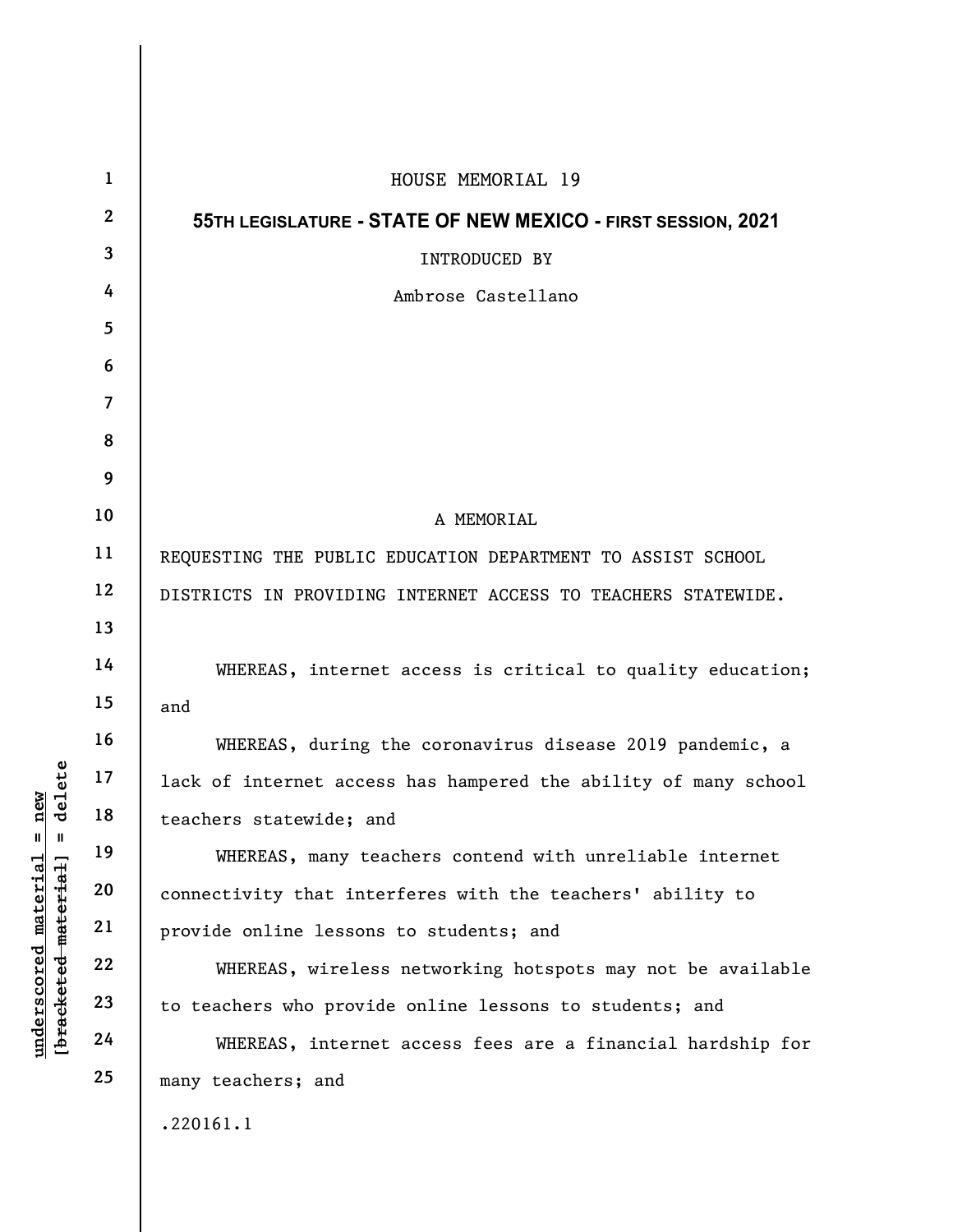|                                                                                           | $\mathbf{1}$            | HOUSE MEMORIAL 19                                               |
|-------------------------------------------------------------------------------------------|-------------------------|-----------------------------------------------------------------|
| delete<br>new<br>$\mathsf{I}$<br>$\mathbf{II}$<br><u>material</u><br>[bracketed material] | $\mathbf{2}$            | 55TH LEGISLATURE - STATE OF NEW MEXICO - FIRST SESSION, 2021    |
|                                                                                           | $\overline{\mathbf{3}}$ | INTRODUCED BY                                                   |
|                                                                                           | 4                       | Ambrose Castellano                                              |
|                                                                                           | $\overline{\mathbf{5}}$ |                                                                 |
|                                                                                           | 6                       |                                                                 |
|                                                                                           | $\overline{7}$          |                                                                 |
|                                                                                           | 8                       |                                                                 |
|                                                                                           | 9                       |                                                                 |
|                                                                                           | 10                      | A MEMORIAL                                                      |
|                                                                                           | 11                      | REQUESTING THE PUBLIC EDUCATION DEPARTMENT TO ASSIST SCHOOL     |
|                                                                                           | 12                      | DISTRICTS IN PROVIDING INTERNET ACCESS TO TEACHERS STATEWIDE.   |
|                                                                                           | 13                      |                                                                 |
|                                                                                           | 14                      | WHEREAS, internet access is critical to quality education;      |
|                                                                                           | 15                      | and                                                             |
|                                                                                           | 16                      | WHEREAS, during the coronavirus disease 2019 pandemic, a        |
|                                                                                           | 17                      | lack of internet access has hampered the ability of many school |
|                                                                                           | 18                      | teachers statewide; and                                         |
|                                                                                           | 19                      | WHEREAS, many teachers contend with unreliable internet         |
|                                                                                           | 20                      | connectivity that interferes with the teachers' ability to      |
|                                                                                           | 21                      | provide online lessons to students; and                         |
|                                                                                           | 22                      | WHEREAS, wireless networking hotspots may not be available      |
| underscored                                                                               | 23                      | to teachers who provide online lessons to students; and         |
|                                                                                           | 24                      | WHEREAS, internet access fees are a financial hardship for      |
|                                                                                           | 25                      | many teachers; and                                              |
|                                                                                           |                         | .220161.1                                                       |
|                                                                                           |                         |                                                                 |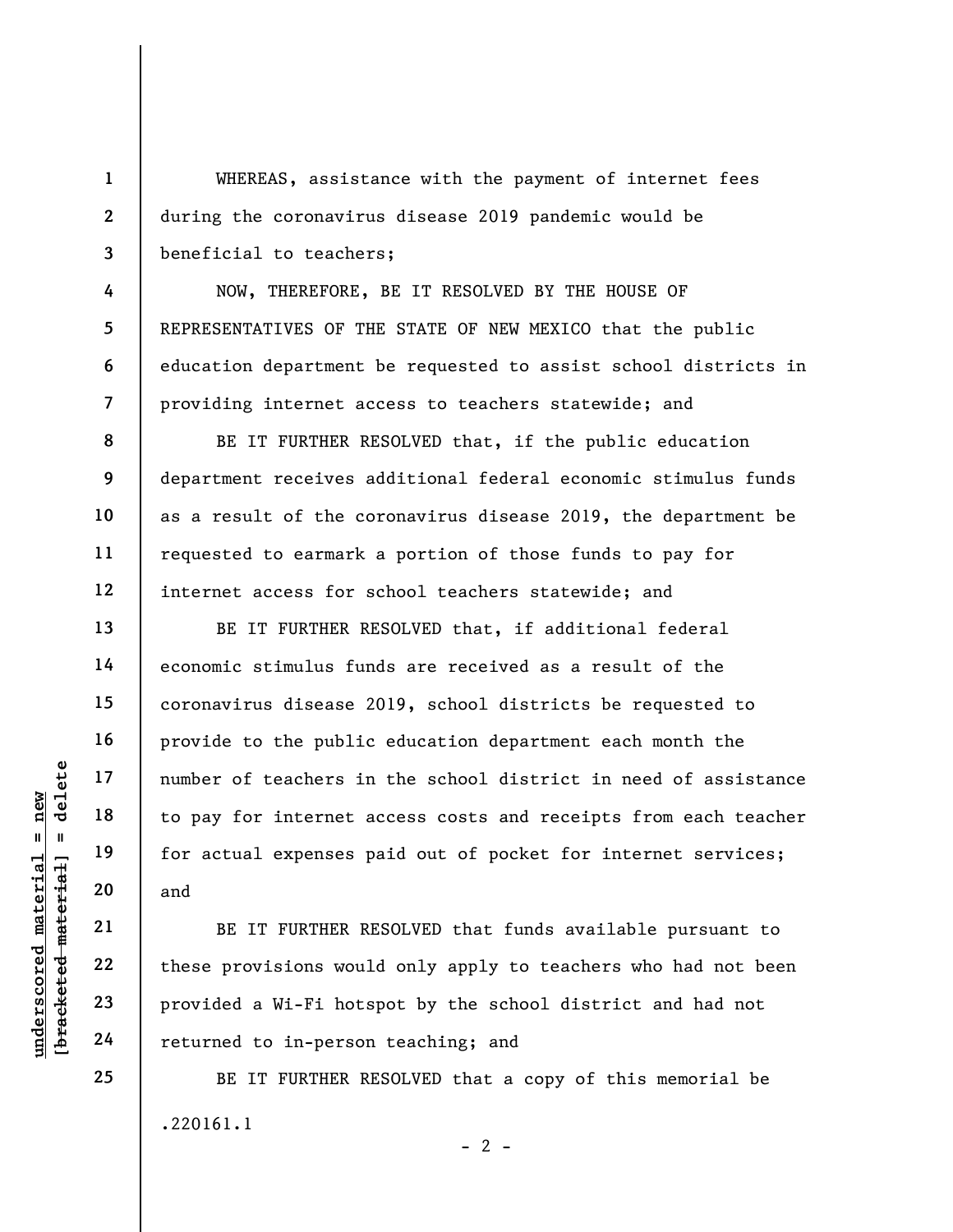WHEREAS, assistance with the payment of internet fees during the coronavirus disease 2019 pandemic would be beneficial to teachers;

NOW, THEREFORE, BE IT RESOLVED BY THE HOUSE OF REPRESENTATIVES OF THE STATE OF NEW MEXICO that the public education department be requested to assist school districts in providing internet access to teachers statewide; and

BE IT FURTHER RESOLVED that, if the public education department receives additional federal economic stimulus funds as a result of the coronavirus disease 2019, the department be requested to earmark a portion of those funds to pay for internet access for school teachers statewide; and

under of teachers in<br>  $\begin{array}{c|c|c|c} \n\text{u} & \text{u} & \text{u} & \text{u} & \text{u} & \text{u} & \text{u} & \text{u} & \text{u} & \text{u} & \text{u} & \text{u} & \text{u} & \text{u} & \text{u} & \text{u} & \text{u} & \text{u} & \text{u} & \text{u} & \text{u} & \text{u} & \text{u} & \text{u} & \text{u} & \text{u} & \text{u} & \text{u} & \text{u} & \text{u} & \text{u$ BE IT FURTHER RESOLVED that, if additional federal economic stimulus funds are received as a result of the coronavirus disease 2019, school districts be requested to provide to the public education department each month the number of teachers in the school district in need of assistance to pay for internet access costs and receipts from each teacher for actual expenses paid out of pocket for internet services; and

BE IT FURTHER RESOLVED that funds available pursuant to these provisions would only apply to teachers who had not been provided a Wi-Fi hotspot by the school district and had not returned to in-person teaching; and

BE IT FURTHER RESOLVED that a copy of this memorial be .220161.1  $- 2 -$ 

1

2

3

4

5

6

7

8

9

10

11

12

13

14

15

16

17

18

19

20

21

22

23

24

25